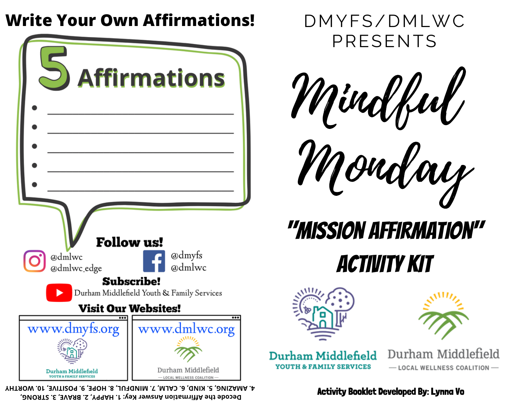## **Write Your Own Affirmations!**

| <b>Affirmations</b>                                             |                                                   |
|-----------------------------------------------------------------|---------------------------------------------------|
|                                                                 |                                                   |
|                                                                 |                                                   |
|                                                                 |                                                   |
|                                                                 |                                                   |
|                                                                 |                                                   |
| <b>Follow us!</b>                                               |                                                   |
| @dmlwc<br>IO                                                    | @dmyfs                                            |
| @dmlwc_edge                                                     | @dmlwc                                            |
| <b>Subscribe!</b><br>Durham Middlefield Youth & Family Services |                                                   |
| <b>Visit Our Websites!</b>                                      |                                                   |
| www.dmyfs.org<br>O                                              | www.dmlwc.org                                     |
|                                                                 |                                                   |
| Durham Middlefield<br>YOUTH & FAMILY SERVICES                   | Durham Middlefield<br>- LOCAL WELLNESS COALITION- |

**Decode the Affirmation Answer Key: 1. HAPPY, 2. BRAVE, 3. STRONG, 4. AMAZING, 5. KIND, 6. CALM, 7. MINDFUL, 8. HOPE, 9. POSITIVE, 10. WORTHY**





Monday







Durham Middlefield **YOUTH & FAMILY SERVICES** 

Durham Middlefield - LOCAL WELLNESS COALITION-

#### Activity Booklet Developed By: Lynna Vo